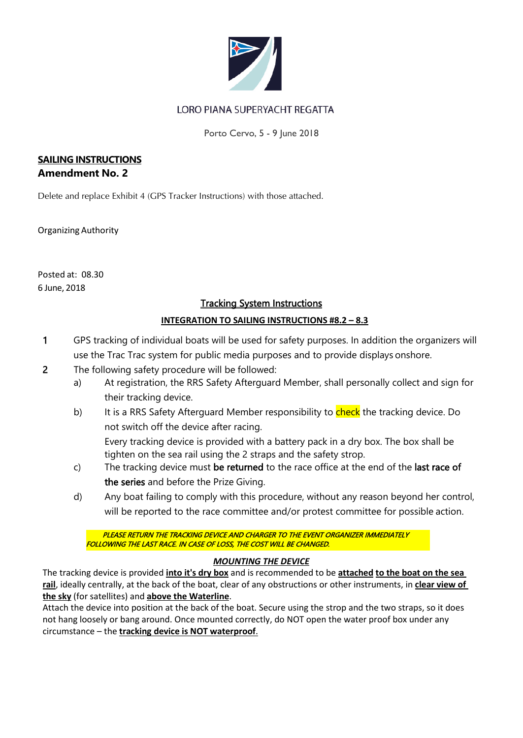

## LORO PIANA SUPERYACHT REGATTA

Porto Cervo, 5 - 9 June 2018

### **SAILING INSTRUCTIONS Amendment No. 2**

Delete and replace Exhibit 4 (GPS Tracker Instructions) with those attached.

Organizing Authority

Posted at: 08.30 6 June, 2018

## Tracking System Instructions

## **INTEGRATION TO SAILING INSTRUCTIONS #8.2 – 8.3**

- 1 GPS tracking of individual boats will be used for safety purposes. In addition the organizers will use the Trac Trac system for public media purposes and to provide displays onshore.
- 2 The following safety procedure will be followed:
	- a) At registration, the RRS Safety Afterguard Member, shall personally collect and sign for their tracking device.
	- b) It is a RRS Safety Afterguard Member responsibility to check the tracking device. Do not switch off the device after racing.

Every tracking device is provided with a battery pack in a dry box. The box shall be tighten on the sea rail using the 2 straps and the safety strop.

- c) The tracking device must be returned to the race office at the end of the last race of the series and before the Prize Giving.
- d) Any boat failing to comply with this procedure, without any reason beyond her control, will be reported to the race committee and/or protest committee for possible action.

PLEASE RETURN THE TRACKING DEVICE AND CHARGER TO THE EVENT ORGANIZER IMMEDIATELY FOLLOWING THE LAST RACE. IN CASE OF LOSS, THE COST WILL BE CHANGED.

#### *MOUNTING THE DEVICE*

The tracking device is provided **into it's dry box** and is recommended to be **attached to the boat on the sea rail**, ideally centrally, at the back of the boat, clear of any obstructions or other instruments, in **clear view of the sky** (for satellites) and **above the Waterline**.

Attach the device into position at the back of the boat. Secure using the strop and the two straps, so it does not hang loosely or bang around. Once mounted correctly, do NOT open the water proof box under any circumstance – the **tracking device is NOT waterproof**.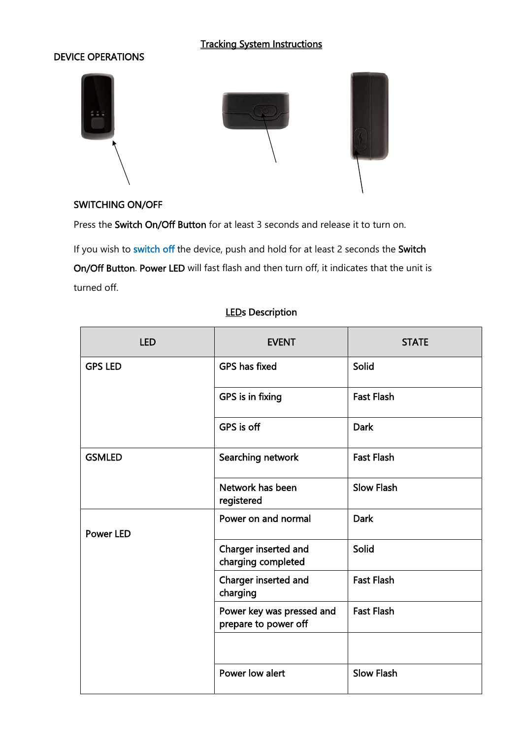# Tracking System Instructions

### DEVICE OPERATIONS



### SWITCHING ON/OFF

Press the Switch On/Off Button for at least 3 seconds and release it to turn on.

If you wish to switch off the device, push and hold for at least 2 seconds the Switch On/Off Button. Power LED will fast flash and then turn off, it indicates that the unit is turned off.

| <b>LED</b>       | <b>EVENT</b>                                      | <b>STATE</b>      |
|------------------|---------------------------------------------------|-------------------|
| <b>GPS LED</b>   | <b>GPS has fixed</b>                              | <b>Solid</b>      |
|                  | GPS is in fixing                                  | <b>Fast Flash</b> |
|                  | GPS is off                                        | <b>Dark</b>       |
| <b>GSMLED</b>    | Searching network                                 | <b>Fast Flash</b> |
|                  | Network has been<br>registered                    | <b>Slow Flash</b> |
| <b>Power LED</b> | Power on and normal                               | <b>Dark</b>       |
|                  | Charger inserted and<br>charging completed        | Solid             |
|                  | Charger inserted and<br>charging                  | <b>Fast Flash</b> |
|                  | Power key was pressed and<br>prepare to power off | <b>Fast Flash</b> |
|                  |                                                   |                   |
|                  | Power low alert                                   | <b>Slow Flash</b> |

### **LEDs Description**